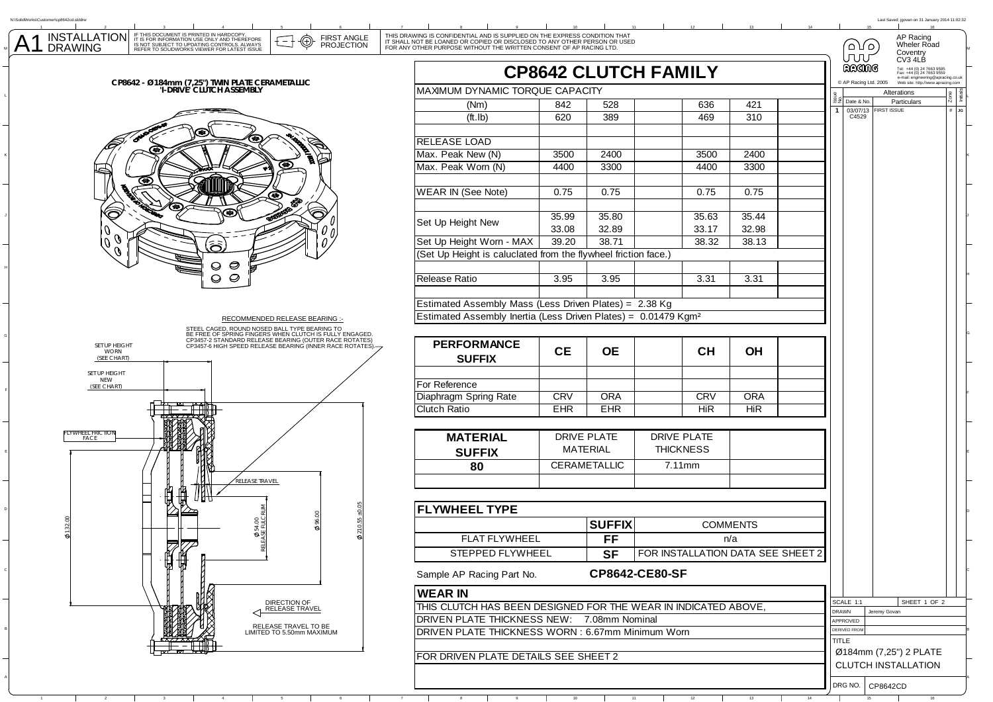| ustomer\cp8642cd.slddrw                                                                                                                                                                                                                                                         |                                                                                                                                                                                                                             |                                                                |                    |                             |                                   |                                     | Last Saved: jgovan on 31 January 2014 11:02:32                                                          |
|---------------------------------------------------------------------------------------------------------------------------------------------------------------------------------------------------------------------------------------------------------------------------------|-----------------------------------------------------------------------------------------------------------------------------------------------------------------------------------------------------------------------------|----------------------------------------------------------------|--------------------|-----------------------------|-----------------------------------|-------------------------------------|---------------------------------------------------------------------------------------------------------|
| IF THIS DOCUMENT IS PRINTED IN HARDCOPY,<br>IT IS FOR INFORMATION USE ONLY AND THEREFORE<br>IS NOT SUBJECT TO UPDATING CONTROLS. ALWAYS<br><b>INSTALLATION</b><br><b>FIRST ANGLE</b><br>⊕<br><b>PROJECTION</b><br><b>DRAWING</b><br>REFER TO SOLIDWORKS VIEWER FOR LATEST ISSUE | THIS DRAWING IS CONFIDENTIAL AND IS SUPPLIED ON THE EXPRESS CONDITION THAT IT SHALL NOT BE LOANED OR COPIED OR DISCLOSED TO ANY OTHER PERSON OR USED<br>FOR ANY OTHER PURPOSE WITHOUT THE WRITTEN CONSENT OF AP RACING LTD. |                                                                |                    |                             |                                   | ۱۵ کا ۵<br>JUU                      | AP Racing<br>Wheler Road<br>Coventry                                                                    |
|                                                                                                                                                                                                                                                                                 |                                                                                                                                                                                                                             |                                                                |                    | <b>CP8642 CLUTCH FAMILY</b> |                                   | ඩයගාල                               | CV3 4LB<br>Tel: +44 (0) 24 7663 9595<br>Fax: +44 (0) 24 7663 9559<br>e-mail: engineering@apracing.co.uk |
| CP8642 - Ø184mm (7,25") TWIN PLATE CERAMETALLIC<br>'I-DRIVE' CLUTCH ASSEMBLY                                                                                                                                                                                                    | MAXIMUM DYNAMIC TORQUE CAPACITY                                                                                                                                                                                             |                                                                |                    |                             |                                   | C AP Racing Ltd. 2005               | Web site: http://www.apracing.com<br>Alterations                                                        |
|                                                                                                                                                                                                                                                                                 | (Nm)                                                                                                                                                                                                                        | 842                                                            | 528                | 636                         | 421                               | $22$ Date & No.                     | Particulars                                                                                             |
|                                                                                                                                                                                                                                                                                 | ( <i>ft</i> . <i>lb</i> )                                                                                                                                                                                                   | 620                                                            | 389                | 469                         | 310                               | 03/07/13<br>C4529<br>$\mathbf{1}$   | <b>FIRST ISSUE</b><br>$\#$ JG                                                                           |
|                                                                                                                                                                                                                                                                                 |                                                                                                                                                                                                                             |                                                                |                    |                             |                                   |                                     |                                                                                                         |
|                                                                                                                                                                                                                                                                                 | <b>RELEASE LOAD</b>                                                                                                                                                                                                         |                                                                |                    |                             |                                   |                                     |                                                                                                         |
|                                                                                                                                                                                                                                                                                 | Max. Peak New (N)                                                                                                                                                                                                           | 3500                                                           | 2400               | 3500                        | 2400                              |                                     |                                                                                                         |
| œ                                                                                                                                                                                                                                                                               | Max. Peak Worn (N)                                                                                                                                                                                                          | 4400                                                           | 3300               | 4400                        | 3300                              |                                     |                                                                                                         |
| G€                                                                                                                                                                                                                                                                              | <b>WEAR IN (See Note)</b>                                                                                                                                                                                                   | 0.75                                                           | 0.75               | 0.75                        | 0.75                              |                                     |                                                                                                         |
| œ                                                                                                                                                                                                                                                                               |                                                                                                                                                                                                                             |                                                                |                    |                             |                                   |                                     |                                                                                                         |
| Õ<br>Ô                                                                                                                                                                                                                                                                          |                                                                                                                                                                                                                             | 35.99                                                          | 35.80              | 35.63                       | 35.44                             |                                     |                                                                                                         |
| 0                                                                                                                                                                                                                                                                               | Set Up Height New                                                                                                                                                                                                           | 33.08                                                          | 32.89              | 33.17                       | 32.98                             |                                     |                                                                                                         |
| O<br>U<br>تى<br>ھ                                                                                                                                                                                                                                                               | Set Up Height Worn - MAX                                                                                                                                                                                                    | 39.20                                                          | 38.71              | 38.32                       | 38.13                             |                                     |                                                                                                         |
| O                                                                                                                                                                                                                                                                               |                                                                                                                                                                                                                             | (Set Up Height is caluclated from the flywheel friction face.) |                    |                             |                                   |                                     |                                                                                                         |
| ⊝                                                                                                                                                                                                                                                                               |                                                                                                                                                                                                                             |                                                                |                    |                             |                                   |                                     |                                                                                                         |
| $\circ$<br>O                                                                                                                                                                                                                                                                    | Release Ratio                                                                                                                                                                                                               | 3.95                                                           | 3.95               | 3.31                        | 3.31                              |                                     |                                                                                                         |
|                                                                                                                                                                                                                                                                                 |                                                                                                                                                                                                                             |                                                                |                    |                             |                                   |                                     |                                                                                                         |
|                                                                                                                                                                                                                                                                                 | Estimated Assembly Mass (Less Driven Plates) = 2.38 Kg<br>Estimated Assembly Inertia (Less Driven Plates) = 0.01479 Kgm <sup>2</sup>                                                                                        |                                                                |                    |                             |                                   |                                     |                                                                                                         |
| RECOMMENDED RELEASE BEARING :-                                                                                                                                                                                                                                                  |                                                                                                                                                                                                                             |                                                                |                    |                             |                                   |                                     |                                                                                                         |
| STEEL CAGED, ROUND NOSED BALL TYPE BEARING TO<br>BE FREE OF SPRING FINGERS WHEN CLUTCH IS FULLY ENGAGED.<br>CP3457-2 STANDARD RELEASE BEARING (OUTER RACE ROTATES)<br>CP3457-6 HIGH SPEED RELEASE BEARING (INNER RACE ROTATES).                                                 | <b>PERFORMANCE</b>                                                                                                                                                                                                          |                                                                |                    |                             |                                   |                                     |                                                                                                         |
| SET UP HEIGHT<br><b>WORN</b><br>(SEE CHART)                                                                                                                                                                                                                                     | <b>SUFFIX</b>                                                                                                                                                                                                               | <b>CE</b>                                                      | <b>OE</b>          | <b>CH</b>                   | <b>OH</b>                         |                                     |                                                                                                         |
| SET UP HEIGHT<br><b>NEW</b>                                                                                                                                                                                                                                                     |                                                                                                                                                                                                                             |                                                                |                    |                             |                                   |                                     |                                                                                                         |
| (SEE CHART)                                                                                                                                                                                                                                                                     | For Reference                                                                                                                                                                                                               | <b>CRV</b>                                                     | <b>ORA</b>         | <b>CRV</b>                  | <b>ORA</b>                        |                                     |                                                                                                         |
|                                                                                                                                                                                                                                                                                 | Diaphragm Spring Rate<br><b>Clutch Ratio</b>                                                                                                                                                                                | EHR                                                            | <b>EHR</b>         | <b>HiR</b>                  | HiR                               |                                     |                                                                                                         |
|                                                                                                                                                                                                                                                                                 |                                                                                                                                                                                                                             |                                                                |                    |                             |                                   |                                     |                                                                                                         |
| FLYWHEEL FRICTION<br>FACE                                                                                                                                                                                                                                                       | <b>MATERIAL</b>                                                                                                                                                                                                             |                                                                | <b>DRIVE PLATE</b> | <b>DRIVE PLATE</b>          |                                   |                                     |                                                                                                         |
|                                                                                                                                                                                                                                                                                 | <b>SUFFIX</b>                                                                                                                                                                                                               | <b>MATERIAL</b><br><b>THICKNESS</b>                            |                    |                             |                                   |                                     |                                                                                                         |
|                                                                                                                                                                                                                                                                                 | 80                                                                                                                                                                                                                          |                                                                | CERAMETALLIC       | 7.11mm                      |                                   |                                     |                                                                                                         |
|                                                                                                                                                                                                                                                                                 |                                                                                                                                                                                                                             |                                                                |                    |                             |                                   |                                     |                                                                                                         |
| .<br>RELEASE TRAVEL                                                                                                                                                                                                                                                             |                                                                                                                                                                                                                             |                                                                |                    |                             |                                   |                                     |                                                                                                         |
| t,                                                                                                                                                                                                                                                                              | <b>FLYWHEEL TYPE</b>                                                                                                                                                                                                        |                                                                |                    |                             |                                   |                                     |                                                                                                         |
|                                                                                                                                                                                                                                                                                 |                                                                                                                                                                                                                             | <b>COMMENTS</b>                                                |                    |                             |                                   |                                     |                                                                                                         |
| <b>Ø54</b><br>SE FI                                                                                                                                                                                                                                                             |                                                                                                                                                                                                                             |                                                                | <b>SUFFIX</b>      |                             |                                   |                                     |                                                                                                         |
| FIZZ                                                                                                                                                                                                                                                                            | <b>FLAT FLYWHEEL</b>                                                                                                                                                                                                        | <b>FF</b>                                                      |                    |                             | n/a                               |                                     |                                                                                                         |
| 倁<br>∰                                                                                                                                                                                                                                                                          | STEPPED FLYWHEEL                                                                                                                                                                                                            |                                                                | <b>SF</b>          |                             | FOR INSTALLATION DATA SEE SHEET 2 |                                     |                                                                                                         |
|                                                                                                                                                                                                                                                                                 | Sample AP Racing Part No.                                                                                                                                                                                                   |                                                                |                    | CP8642-CE80-SF              |                                   |                                     |                                                                                                         |
|                                                                                                                                                                                                                                                                                 | <b>WEAR IN</b>                                                                                                                                                                                                              |                                                                |                    |                             |                                   |                                     |                                                                                                         |
| DIRECTION OF<br>RELEASE TRAVEL                                                                                                                                                                                                                                                  | THIS CLUTCH HAS BEEN DESIGNED FOR THE WEAR IN INDICATED ABOVE,                                                                                                                                                              |                                                                |                    |                             |                                   | SCALE 1:1<br>DRAWN                  | SHEET 1 OF 2<br>Jeremy Govan                                                                            |
|                                                                                                                                                                                                                                                                                 | DRIVEN PLATE THICKNESS NEW: 7.08mm Nominal                                                                                                                                                                                  |                                                                |                    |                             |                                   | APPROVED                            |                                                                                                         |
| RELEASE TRAVEL TO BE<br>LIMITED TO 5.50mm MAXIMUM                                                                                                                                                                                                                               | DRIVEN PLATE THICKNESS WORN : 6.67mm Minimum Worn                                                                                                                                                                           |                                                                |                    |                             |                                   | <b>DERIVED FROM</b><br><b>TITLE</b> |                                                                                                         |
|                                                                                                                                                                                                                                                                                 |                                                                                                                                                                                                                             |                                                                |                    |                             |                                   |                                     | Ø184mm (7,25") 2 PLATE                                                                                  |
|                                                                                                                                                                                                                                                                                 | FOR DRIVEN PLATE DETAILS SEE SHEET 2                                                                                                                                                                                        |                                                                |                    |                             |                                   |                                     | <b>CLUTCH INSTALLATION</b>                                                                              |
|                                                                                                                                                                                                                                                                                 |                                                                                                                                                                                                                             |                                                                |                    |                             |                                   |                                     |                                                                                                         |

1 2 3 4 5 6 7 8 9 10 11 12 13

K

 $\overline{\mathsf{A1}}$ 

N:\SolidWorks\Customer\cp8642cd.slddrw

J

G

E

D

C

B

A

DRG NO. CP8642CD

14 15 16 16

A